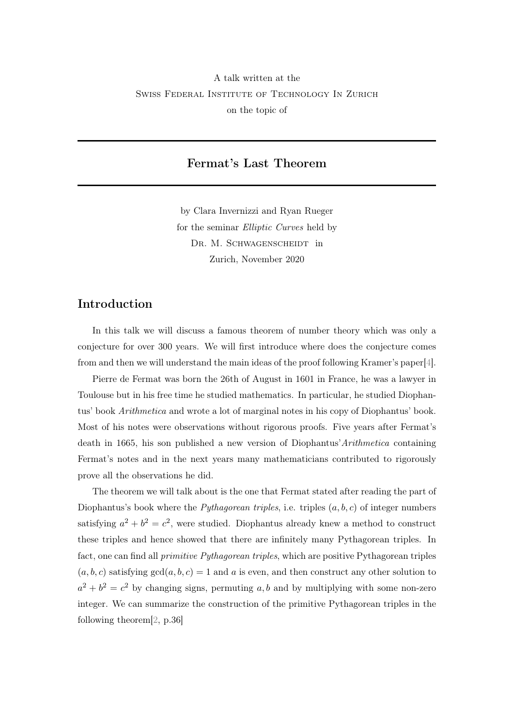## <span id="page-0-0"></span>A talk written at the Swiss Federal Institute of Technology In Zurich on the topic of

## Fermat's Last Theorem

by Clara Invernizzi and Ryan Rueger for the seminar Elliptic Curves held by DR. M. SCHWAGENSCHEIDT in Zurich, November 2020

## Introduction

In this talk we will discuss a famous theorem of number theory which was only a conjecture for over 300 years. We will first introduce where does the conjecture comes from and then we will understand the main ideas of the proof following Kramer's paper[\[4\]](#page-11-0).

Pierre de Fermat was born the 26th of August in 1601 in France, he was a lawyer in Toulouse but in his free time he studied mathematics. In particular, he studied Diophantus' book Arithmetica and wrote a lot of marginal notes in his copy of Diophantus' book. Most of his notes were observations without rigorous proofs. Five years after Fermat's death in 1665, his son published a new version of Diophantus'Arithmetica containing Fermat's notes and in the next years many mathematicians contributed to rigorously prove all the observations he did.

The theorem we will talk about is the one that Fermat stated after reading the part of Diophantus's book where the *Pythagorean triples*, i.e. triples  $(a, b, c)$  of integer numbers satisfying  $a^2 + b^2 = c^2$ , were studied. Diophantus already knew a method to construct these triples and hence showed that there are infinitely many Pythagorean triples. In fact, one can find all primitive Pythagorean triples, which are positive Pythagorean triples  $(a, b, c)$  satisfying  $gcd(a, b, c) = 1$  and a is even, and then construct any other solution to  $a^2 + b^2 = c^2$  by changing signs, permuting a, b and by multiplying with some non-zero integer. We can summarize the construction of the primitive Pythagorean triples in the following theorem[\[2,](#page-11-1) p.36]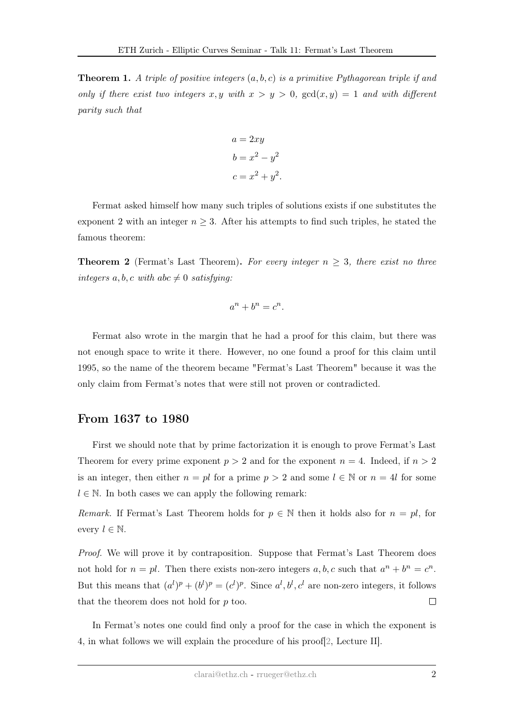<span id="page-1-0"></span>**Theorem 1.** A triple of positive integers  $(a, b, c)$  is a primitive Pythagorean triple if and only if there exist two integers  $x, y$  with  $x > y > 0$ ,  $gcd(x, y) = 1$  and with different parity such that

$$
a = 2xy
$$

$$
b = x2 - y2
$$

$$
c = x2 + y2.
$$

Fermat asked himself how many such triples of solutions exists if one substitutes the exponent 2 with an integer  $n \geq 3$ . After his attempts to find such triples, he stated the famous theorem:

**Theorem 2** (Fermat's Last Theorem). For every integer  $n \geq 3$ , there exist no three integers a, b, c with abc  $\neq 0$  satisfying:

$$
a^n + b^n = c^n.
$$

Fermat also wrote in the margin that he had a proof for this claim, but there was not enough space to write it there. However, no one found a proof for this claim until 1995, so the name of the theorem became "Fermat's Last Theorem" because it was the only claim from Fermat's notes that were still not proven or contradicted.

## From 1637 to 1980

First we should note that by prime factorization it is enough to prove Fermat's Last Theorem for every prime exponent  $p > 2$  and for the exponent  $n = 4$ . Indeed, if  $n > 2$ is an integer, then either  $n = pl$  for a prime  $p > 2$  and some  $l \in \mathbb{N}$  or  $n = 4l$  for some  $l \in \mathbb{N}$ . In both cases we can apply the following remark:

Remark. If Fermat's Last Theorem holds for  $p \in \mathbb{N}$  then it holds also for  $n = pl$ , for every  $l \in \mathbb{N}$ .

Proof. We will prove it by contraposition. Suppose that Fermat's Last Theorem does not hold for  $n = pl$ . Then there exists non-zero integers a, b, c such that  $a^n + b^n = c^n$ . But this means that  $(a^{l})^p + (b^{l})^p = (c^{l})^p$ . Since  $a^{l}, b^{l}, c^{l}$  are non-zero integers, it follows that the theorem does not hold for p too.  $\Box$ 

In Fermat's notes one could find only a proof for the case in which the exponent is 4, in what follows we will explain the procedure of his proof[\[2,](#page-11-1) Lecture II].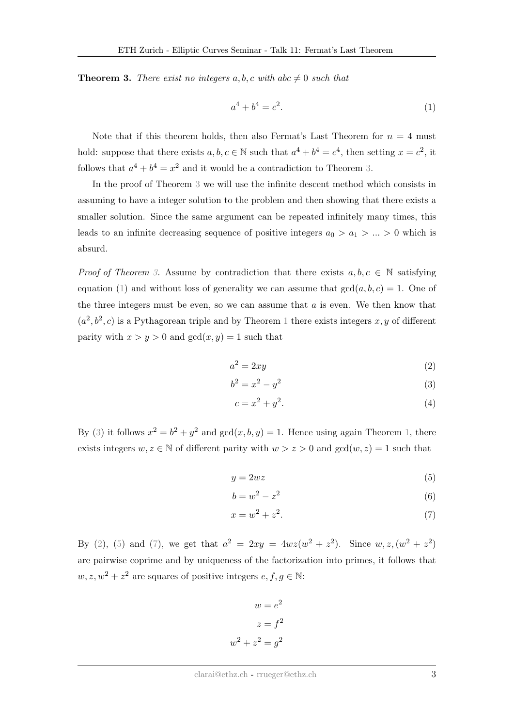<span id="page-2-0"></span>**Theorem 3.** There exist no integers a, b, c with abc  $\neq 0$  such that

<span id="page-2-1"></span>
$$
a^4 + b^4 = c^2.
$$
 (1)

Note that if this theorem holds, then also Fermat's Last Theorem for  $n = 4$  must hold: suppose that there exists  $a, b, c \in \mathbb{N}$  such that  $a^4 + b^4 = c^4$ , then setting  $x = c^2$ , it follows that  $a^4 + b^4 = x^2$  and it would be a contradiction to Theorem [3.](#page-2-0)

In the proof of Theorem [3](#page-2-0) we will use the infinite descent method which consists in assuming to have a integer solution to the problem and then showing that there exists a smaller solution. Since the same argument can be repeated infinitely many times, this leads to an infinite decreasing sequence of positive integers  $a_0 > a_1 > ... > 0$  which is absurd.

*Proof of Theorem [3.](#page-2-0)* Assume by contradiction that there exists  $a, b, c \in \mathbb{N}$  satisfying equation [\(1\)](#page-2-1) and without loss of generality we can assume that  $gcd(a, b, c) = 1$ . One of the three integers must be even, so we can assume that  $a$  is even. We then know that  $(a^2, b^2, c)$  is a Pythagorean triple and by Theorem [1](#page-1-0) there exists integers x, y of different parity with  $x > y > 0$  and  $gcd(x, y) = 1$  such that

<span id="page-2-3"></span>
$$
a^2 = 2xy \tag{2}
$$

$$
b^2 = x^2 - y^2 \tag{3}
$$

<span id="page-2-2"></span>
$$
c = x^2 + y^2. \tag{4}
$$

By [\(3\)](#page-2-2) it follows  $x^2 = b^2 + y^2$  and  $gcd(x, b, y) = 1$ . Hence using again Theorem [1,](#page-1-0) there exists integers  $w, z \in \mathbb{N}$  of different parity with  $w > z > 0$  and  $gcd(w, z) = 1$  such that

<span id="page-2-4"></span>
$$
y = 2wz \tag{5}
$$

$$
b = w^2 - z^2 \tag{6}
$$

<span id="page-2-5"></span>
$$
x = w^2 + z^2.\tag{7}
$$

By [\(2\)](#page-2-3), [\(5\)](#page-2-4) and [\(7\)](#page-2-5), we get that  $a^2 = 2xy = 4wz(w^2 + z^2)$ . Since  $w, z, (w^2 + z^2)$ are pairwise coprime and by uniqueness of the factorization into primes, it follows that  $w, z, w^2 + z^2$  are squares of positive integers  $e, f, g \in \mathbb{N}$ :

$$
w = e2
$$

$$
z = f2
$$

$$
w2 + z2 = g2
$$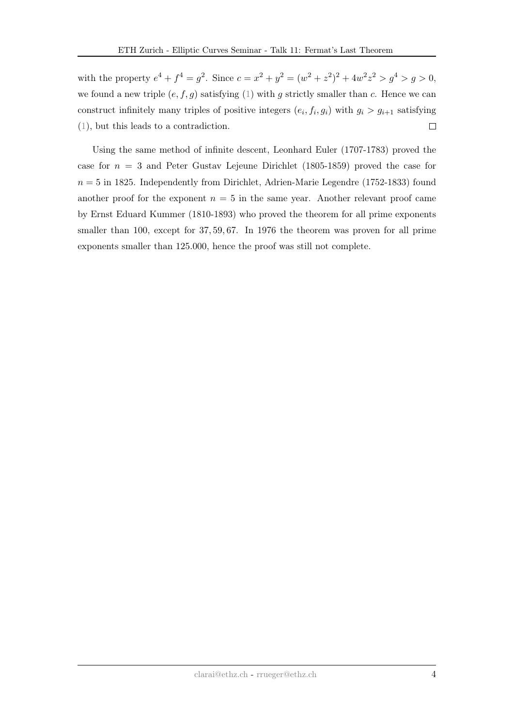with the property  $e^4 + f^4 = g^2$ . Since  $c = x^2 + y^2 = (w^2 + z^2)^2 + 4w^2z^2 > g^4 > g > 0$ , we found a new triple  $(e, f, g)$  satisfying  $(1)$  with g strictly smaller than c. Hence we can construct infinitely many triples of positive integers  $(e_i, f_i, g_i)$  with  $g_i > g_{i+1}$  satisfying [\(1\)](#page-2-1), but this leads to a contradiction.  $\Box$ 

Using the same method of infinite descent, Leonhard Euler (1707-1783) proved the case for  $n = 3$  and Peter Gustav Lejeune Dirichlet (1805-1859) proved the case for  $n = 5$  in 1825. Independently from Dirichlet, Adrien-Marie Legendre (1752-1833) found another proof for the exponent  $n = 5$  in the same year. Another relevant proof came by Ernst Eduard Kummer (1810-1893) who proved the theorem for all prime exponents smaller than 100, except for 37, 59, 67. In 1976 the theorem was proven for all prime exponents smaller than 125.000, hence the proof was still not complete.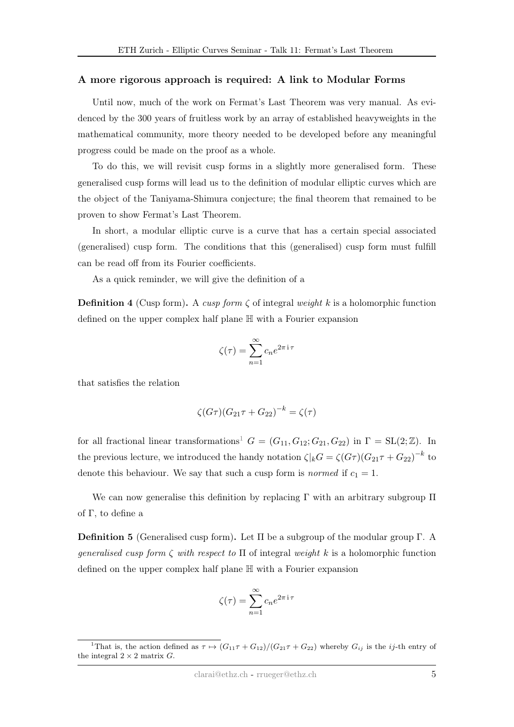#### A more rigorous approach is required: A link to Modular Forms

Until now, much of the work on Fermat's Last Theorem was very manual. As evidenced by the 300 years of fruitless work by an array of established heavyweights in the mathematical community, more theory needed to be developed before any meaningful progress could be made on the proof as a whole.

To do this, we will revisit cusp forms in a slightly more generalised form. These generalised cusp forms will lead us to the definition of modular elliptic curves which are the object of the Taniyama-Shimura conjecture; the final theorem that remained to be proven to show Fermat's Last Theorem.

In short, a modular elliptic curve is a curve that has a certain special associated (generalised) cusp form. The conditions that this (generalised) cusp form must fulfill can be read off from its Fourier coefficients.

As a quick reminder, we will give the definition of a

**Definition 4** (Cusp form). A cusp form  $\zeta$  of integral weight k is a holomorphic function defined on the upper complex half plane H with a Fourier expansion

$$
\zeta(\tau) = \sum_{n=1}^{\infty} c_n e^{2\pi i \tau}
$$

that satisfies the relation

$$
\zeta(G\tau)(G_{21}\tau + G_{22})^{-k} = \zeta(\tau)
$$

for all fractional linear transformations<sup>[1](#page-0-0)</sup>  $G = (G_{11}, G_{12}; G_{21}, G_{22})$  in  $\Gamma = SL(2;\mathbb{Z})$ . In the previous lecture, we introduced the handy notation  $\zeta|_kG = \zeta(G\tau)(G_{21}\tau + G_{22})^{-k}$  to denote this behaviour. We say that such a cusp form is *normed* if  $c_1 = 1$ .

We can now generalise this definition by replacing  $\Gamma$  with an arbitrary subgroup  $\Pi$ of Γ, to define a

Definition 5 (Generalised cusp form). Let Π be a subgroup of the modular group Γ. A generalised cusp form  $\zeta$  with respect to  $\Pi$  of integral weight k is a holomorphic function defined on the upper complex half plane H with a Fourier expansion

$$
\zeta(\tau) = \sum_{n=1}^{\infty} c_n e^{2\pi i \tau}
$$

<sup>&</sup>lt;sup>1</sup>That is, the action defined as  $\tau \mapsto (G_{11}\tau + G_{12})/(G_{21}\tau + G_{22})$  whereby  $G_{ij}$  is the *ij*-th entry of the integral  $2 \times 2$  matrix G.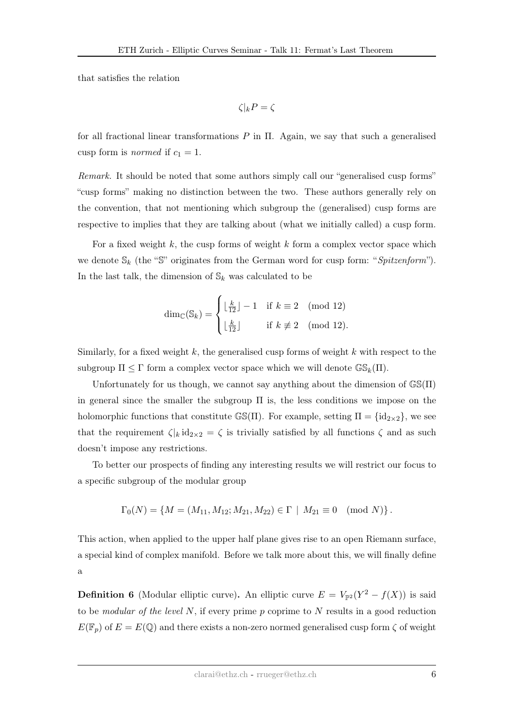that satisfies the relation

$$
\zeta|_kP=\zeta
$$

for all fractional linear transformations  $P$  in  $\Pi$ . Again, we say that such a generalised cusp form is *normed* if  $c_1 = 1$ .

Remark. It should be noted that some authors simply call our "generalised cusp forms" "cusp forms" making no distinction between the two. These authors generally rely on the convention, that not mentioning which subgroup the (generalised) cusp forms are respective to implies that they are talking about (what we initially called) a cusp form.

For a fixed weight  $k$ , the cusp forms of weight  $k$  form a complex vector space which we denote  $\mathbb{S}_k$  (the "S" originates from the German word for cusp form: "Spitzenform"). In the last talk, the dimension of  $\mathbb{S}_k$  was calculated to be

$$
\dim_{\mathbb{C}}(\mathbb{S}_k) = \begin{cases} \lfloor \frac{k}{12} \rfloor - 1 & \text{if } k \equiv 2 \pmod{12} \\ \lfloor \frac{k}{12} \rfloor & \text{if } k \not\equiv 2 \pmod{12}. \end{cases}
$$

Similarly, for a fixed weight  $k$ , the generalised cusp forms of weight  $k$  with respect to the subgroup  $\Pi \leq \Gamma$  form a complex vector space which we will denote  $\mathbb{GS}_k(\Pi)$ .

Unfortunately for us though, we cannot say anything about the dimension of  $\mathbb{GS}(\Pi)$ in general since the smaller the subgroup Π is, the less conditions we impose on the holomorphic functions that constitute  $\mathbb{GS}(\Pi)$ . For example, setting  $\Pi = {\text{id}_{2\times 2}}$ , we see that the requirement  $\zeta|_k \, id_{2\times 2} = \zeta$  is trivially satisfied by all functions  $\zeta$  and as such doesn't impose any restrictions.

To better our prospects of finding any interesting results we will restrict our focus to a specific subgroup of the modular group

$$
\Gamma_0(N) = \{ M = (M_{11}, M_{12}; M_{21}, M_{22}) \in \Gamma \mid M_{21} \equiv 0 \pmod{N} \}.
$$

This action, when applied to the upper half plane gives rise to an open Riemann surface, a special kind of complex manifold. Before we talk more about this, we will finally define a

**Definition 6** (Modular elliptic curve). An elliptic curve  $E = V_{\mathbb{P}^2}(Y^2 - f(X))$  is said to be *modular of the level*  $N$ , if every prime  $p$  coprime to  $N$  results in a good reduction  $E(\mathbb{F}_p)$  of  $E = E(\mathbb{Q})$  and there exists a non-zero normed generalised cusp form  $\zeta$  of weight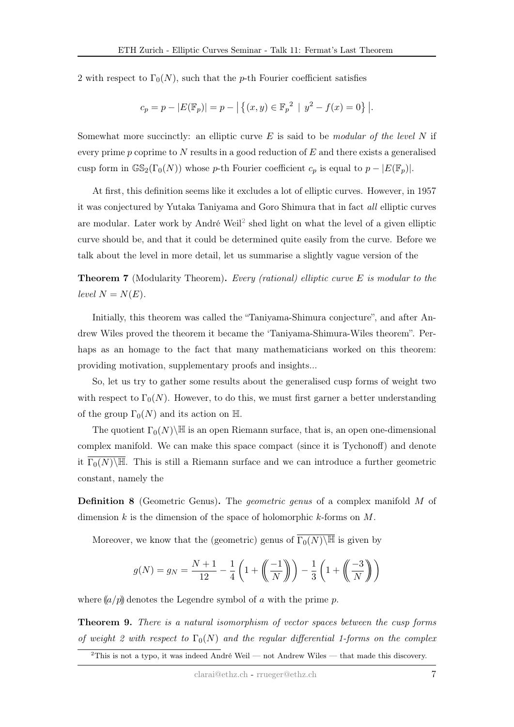2 with respect to  $\Gamma_0(N)$ , such that the p-th Fourier coefficient satisfies

$$
c_p = p - |E(\mathbb{F}_p)| = p - | \{ (x, y) \in \mathbb{F}_p^2 | y^2 - f(x) = 0 \} |.
$$

Somewhat more succinctly: an elliptic curve  $E$  is said to be *modular of the level*  $N$  if every prime p coprime to  $N$  results in a good reduction of  $E$  and there exists a generalised cusp form in  $\mathbb{GS}_2(\Gamma_0(N))$  whose p-th Fourier coefficient  $c_p$  is equal to  $p - |E(\mathbb{F}_p)|$ .

At first, this definition seems like it excludes a lot of elliptic curves. However, in 1957 it was conjectured by Yutaka Taniyama and Goro Shimura that in fact all elliptic curves are modular. Later work by André Weil<sup>[2](#page-0-0)</sup> shed light on what the level of a given elliptic curve should be, and that it could be determined quite easily from the curve. Before we talk about the level in more detail, let us summarise a slightly vague version of the

**Theorem 7** (Modularity Theorem). Every (rational) elliptic curve  $E$  is modular to the level  $N = N(E)$ .

Initially, this theorem was called the "Taniyama-Shimura conjecture", and after Andrew Wiles proved the theorem it became the 'Taniyama-Shimura-Wiles theorem". Perhaps as an homage to the fact that many mathematicians worked on this theorem: providing motivation, supplementary proofs and insights...

So, let us try to gather some results about the generalised cusp forms of weight two with respect to  $\Gamma_0(N)$ . However, to do this, we must first garner a better understanding of the group  $\Gamma_0(N)$  and its action on H.

The quotient  $\Gamma_0(N)\backslash\mathbb{H}$  is an open Riemann surface, that is, an open one-dimensional complex manifold. We can make this space compact (since it is Tychonoff) and denote it  $\Gamma_0(N)\backslash\mathbb{H}$ . This is still a Riemann surface and we can introduce a further geometric constant, namely the

Definition 8 (Geometric Genus). The geometric genus of a complex manifold M of dimension k is the dimension of the space of holomorphic k-forms on  $M$ .

Moreover, we know that the (geometric) genus of  $\Gamma_0(N)\setminus\mathbb{H}$  is given by

$$
g(N)=g_N=\frac{N+1}{12}-\frac{1}{4}\left(1+\left(\!\!\left(\frac{-1}{N}\right)\!\!\right)\right)-\frac{1}{3}\left(1+\left(\!\!\left(\frac{-3}{N}\right)\!\!\right)\right)
$$

where  $(a/p)$  denotes the Legendre symbol of a with the prime p.

Theorem 9. There is a natural isomorphism of vector spaces between the cusp forms of weight 2 with respect to  $\Gamma_0(N)$  and the regular differential 1-forms on the complex

<sup>&</sup>lt;sup>2</sup>This is not a typo, it was indeed André Weil — not Andrew Wiles — that made this discovery.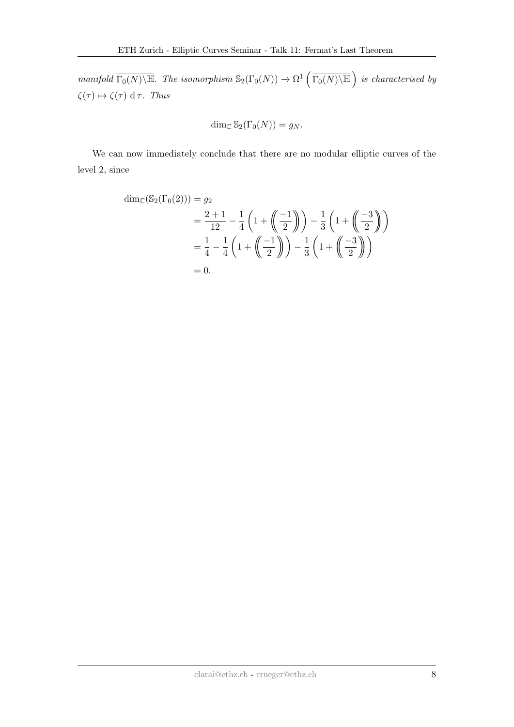manifold  $\Gamma_0(N)\backslash\mathbb{H}$ . The isomorphism  $\mathbb{S}_2(\Gamma_0(N)) \to \Omega^1(\Gamma_0(N)\backslash\mathbb{H})$  is characterised by  $\zeta(\tau) \mapsto \zeta(\tau) \, d\,\tau$ . Thus

$$
\dim_{\mathbb{C}} \mathbb{S}_2(\Gamma_0(N)) = g_N.
$$

We can now immediately conclude that there are no modular elliptic curves of the level 2, since

$$
\dim_{\mathbb{C}}(\mathbb{S}_2(\Gamma_0(2))) = g_2
$$
  
=  $\frac{2+1}{12} - \frac{1}{4} \left( 1 + \left( \frac{-1}{2} \right) \right) - \frac{1}{3} \left( 1 + \left( \frac{-3}{2} \right) \right)$   
=  $\frac{1}{4} - \frac{1}{4} \left( 1 + \left( \frac{-1}{2} \right) \right) - \frac{1}{3} \left( 1 + \left( \frac{-3}{2} \right) \right)$   
= 0.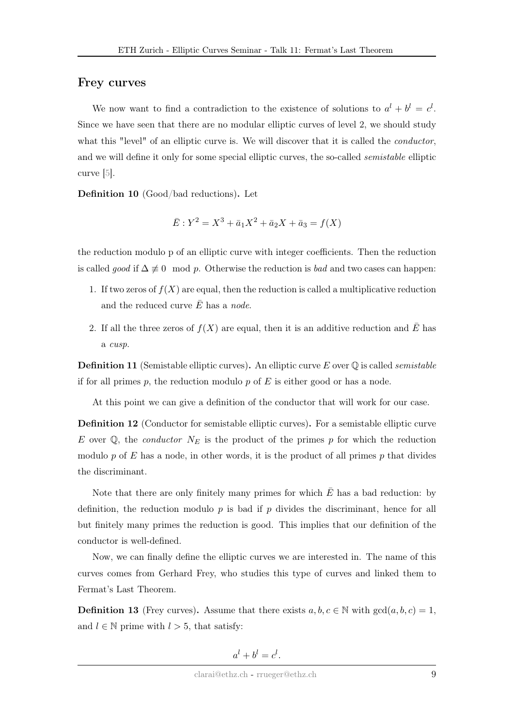### Frey curves

We now want to find a contradiction to the existence of solutions to  $a^{l} + b^{l} = c^{l}$ . Since we have seen that there are no modular elliptic curves of level 2, we should study what this "level" of an elliptic curve is. We will discover that it is called the *conductor*, and we will define it only for some special elliptic curves, the so-called *semistable* elliptic curve [\[5\]](#page-11-2).

Definition 10 (Good/bad reductions). Let

$$
\bar{E}: Y^2 = X^3 + \bar{a}_1 X^2 + \bar{a}_2 X + \bar{a}_3 = f(X)
$$

the reduction modulo p of an elliptic curve with integer coefficients. Then the reduction is called good if  $\Delta \not\equiv 0 \mod p$ . Otherwise the reduction is bad and two cases can happen:

- 1. If two zeros of  $f(X)$  are equal, then the reduction is called a multiplicative reduction and the reduced curve  $E$  has a node.
- 2. If all the three zeros of  $f(X)$  are equal, then it is an additive reduction and  $\overline{E}$  has a cusp.

**Definition 11** (Semistable elliptic curves). An elliptic curve E over  $\mathbb Q$  is called *semistable* if for all primes  $p$ , the reduction modulo  $p$  of  $E$  is either good or has a node.

At this point we can give a definition of the conductor that will work for our case.

<span id="page-8-0"></span>Definition 12 (Conductor for semistable elliptic curves). For a semistable elliptic curve E over  $\mathbb{Q}$ , the *conductor*  $N_E$  is the product of the primes p for which the reduction modulo p of E has a node, in other words, it is the product of all primes p that divides the discriminant.

Note that there are only finitely many primes for which  $\overline{E}$  has a bad reduction: by definition, the reduction modulo  $p$  is bad if  $p$  divides the discriminant, hence for all but finitely many primes the reduction is good. This implies that our definition of the conductor is well-defined.

Now, we can finally define the elliptic curves we are interested in. The name of this curves comes from Gerhard Frey, who studies this type of curves and linked them to Fermat's Last Theorem.

**Definition 13** (Frey curves). Assume that there exists  $a, b, c \in \mathbb{N}$  with  $gcd(a, b, c) = 1$ , and  $l \in \mathbb{N}$  prime with  $l > 5$ , that satisfy:

$$
a^l + b^l = c^l.
$$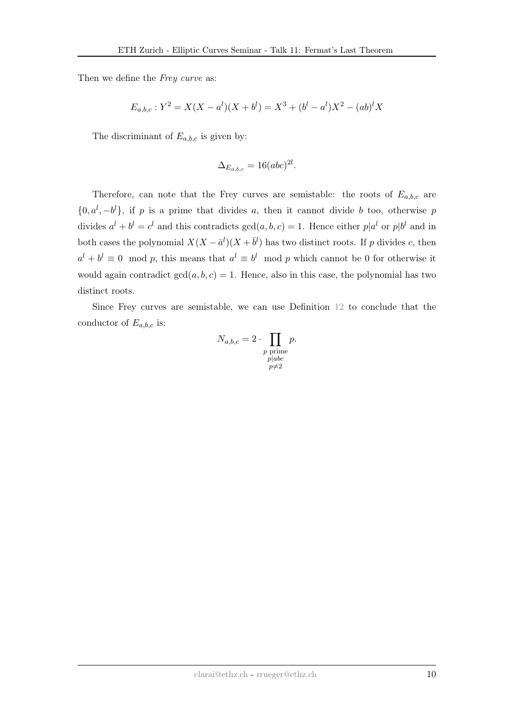Then we define the Frey curve as:

$$
E_{a,b,c}: Y^2 = X(X - a^l)(X + b^l) = X^3 + (b^l - a^l)X^2 - (ab)^l X
$$

The discriminant of  $E_{a,b,c}$  is given by:

$$
\Delta_{E_{a,b,c}} = 16(abc)^{2l}.
$$

Therefore, can note that the Frey curves are semistable: the roots of  $E_{a,b,c}$  are  $\{0, a^l, -b^l\}$ , if p is a prime that divides a, then it cannot divide b too, otherwise p divides  $a^l + b^l = c^l$  and this contradicts  $gcd(a, b, c) = 1$ . Hence either  $p|a^l$  or  $p|b^l$  and in both cases the polynomial  $X(X - \bar{a}^l)(X + \bar{b}^l)$  has two distinct roots. If p divides c, then  $a^{l} + b^{l} \equiv 0 \mod p$ , this means that  $a^{l} \equiv b^{l} \mod p$  which cannot be 0 for otherwise it would again contradict  $gcd(a, b, c) = 1$ . Hence, also in this case, the polynomial has two distinct roots.

Since Frey curves are semistable, we can use Definition [12](#page-8-0) to conclude that the conductor of  $E_{a,b,c}$  is:

$$
N_{a,b,c} = 2 \cdot \prod_{\substack{p \text{ prime} \\ p \mid abc \\ p \neq 2}} p.
$$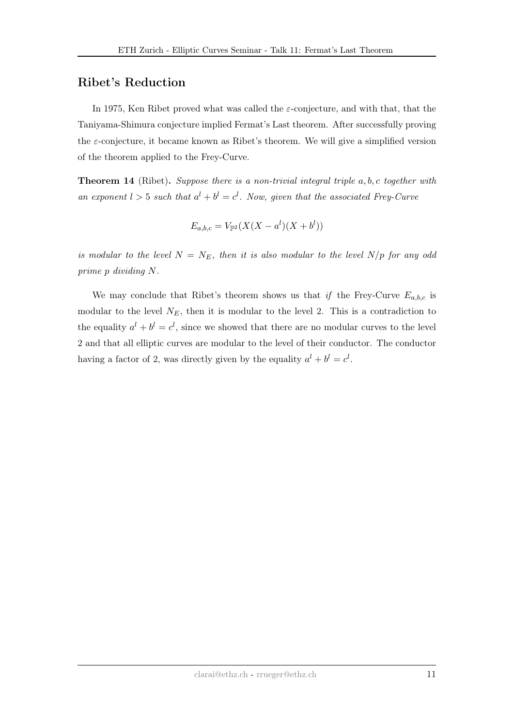## Ribet's Reduction

In 1975, Ken Ribet proved what was called the  $\varepsilon$ -conjecture, and with that, that the Taniyama-Shimura conjecture implied Fermat's Last theorem. After successfully proving the  $\varepsilon$ -conjecture, it became known as Ribet's theorem. We will give a simplified version of the theorem applied to the Frey-Curve.

**Theorem 14** (Ribet). Suppose there is a non-trivial integral triple  $a, b, c$  together with an exponent  $l > 5$  such that  $a^l + b^l = c^l$ . Now, given that the associated Frey-Curve

$$
E_{a,b,c} = V_{\mathbb{P}^2}(X(X - a^l)(X + b^l))
$$

is modular to the level  $N = N_E$ , then it is also modular to the level  $N/p$  for any odd prime p dividing N.

We may conclude that Ribet's theorem shows us that if the Frey-Curve  $E_{a,b,c}$  is modular to the level  $N_E$ , then it is modular to the level 2. This is a contradiction to the equality  $a^l + b^l = c^l$ , since we showed that there are no modular curves to the level 2 and that all elliptic curves are modular to the level of their conductor. The conductor having a factor of 2, was directly given by the equality  $a^{l} + b^{l} = c^{l}$ .